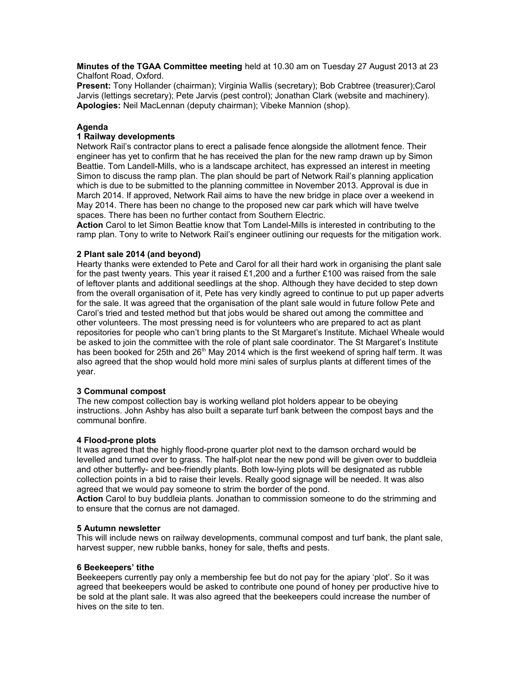**Minutes of the TGAA Committee meeting** held at 10.30 am on Tuesday 27 August 2013 at 23 Chalfont Road, Oxford.

**Present:** Tony Hollander (chairman); Virginia Wallis (secretary); Bob Crabtree (treasurer);Carol Jarvis (lettings secretary); Pete Jarvis (pest control); Jonathan Clark (website and machinery). **Apologies:** Neil MacLennan (deputy chairman); Vibeke Mannion (shop).

## **Agenda**

# **1 Railway developments**

Network Rail's contractor plans to erect a palisade fence alongside the allotment fence. Their engineer has yet to confirm that he has received the plan for the new ramp drawn up by Simon Beattie. Tom Landell-Mills, who is a landscape architect, has expressed an interest in meeting Simon to discuss the ramp plan. The plan should be part of Network Rail's planning application which is due to be submitted to the planning committee in November 2013. Approval is due in March 2014. If approved, Network Rail aims to have the new bridge in place over a weekend in May 2014. There has been no change to the proposed new car park which will have twelve spaces. There has been no further contact from Southern Electric.

**Action** Carol to let Simon Beattie know that Tom Landel-Mills is interested in contributing to the ramp plan. Tony to write to Network Rail's engineer outlining our requests for the mitigation work.

### **2 Plant sale 2014 (and beyond)**

Hearty thanks were extended to Pete and Carol for all their hard work in organising the plant sale for the past twenty years. This year it raised £1,200 and a further £100 was raised from the sale of leftover plants and additional seedlings at the shop. Although they have decided to step down from the overall organisation of it, Pete has very kindly agreed to continue to put up paper adverts for the sale. It was agreed that the organisation of the plant sale would in future follow Pete and Carol's tried and tested method but that jobs would be shared out among the committee and other volunteers. The most pressing need is for volunteers who are prepared to act as plant repositories for people who can't bring plants to the St Margaret's Institute. Michael Wheale would be asked to join the committee with the role of plant sale coordinator. The St Margaret's Institute has been booked for 25th and 26<sup>th</sup> May 2014 which is the first weekend of spring half term. It was also agreed that the shop would hold more mini sales of surplus plants at different times of the year.

### **3 Communal compost**

The new compost collection bay is working welland plot holders appear to be obeying instructions. John Ashby has also built a separate turf bank between the compost bays and the communal bonfire.

### **4 Flood-prone plots**

It was agreed that the highly flood-prone quarter plot next to the damson orchard would be levelled and turned over to grass. The half-plot near the new pond will be given over to buddleia and other butterfly- and bee-friendly plants. Both low-lying plots will be designated as rubble collection points in a bid to raise their levels. Really good signage will be needed. It was also agreed that we would pay someone to strim the border of the pond.

**Action** Carol to buy buddleia plants. Jonathan to commission someone to do the strimming and to ensure that the cornus are not damaged.

## **5 Autumn newsletter**

This will include news on railway developments, communal compost and turf bank, the plant sale, harvest supper, new rubble banks, honey for sale, thefts and pests.

## **6 Beekeepers' tithe**

Beekeepers currently pay only a membership fee but do not pay for the apiary 'plot'. So it was agreed that beekeepers would be asked to contribute one pound of honey per productive hive to be sold at the plant sale. It was also agreed that the beekeepers could increase the number of hives on the site to ten.